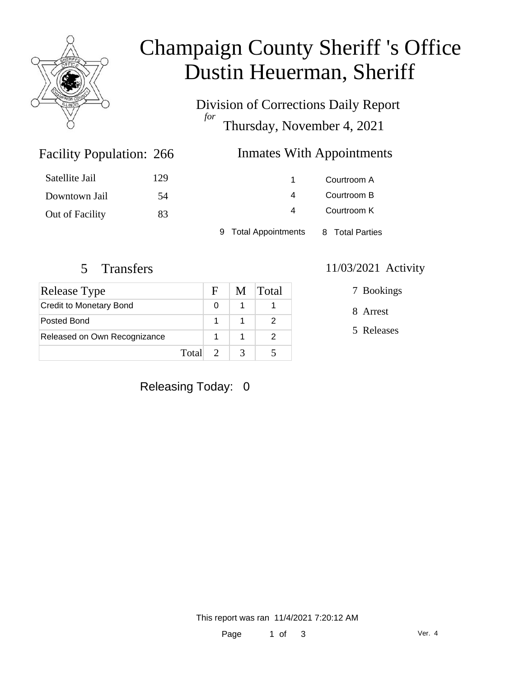

# Champaign County Sheriff 's Office Dustin Heuerman, Sheriff

Division of Corrections Daily Report *for* Thursday, November 4, 2021

### Inmates With Appointments

| Satellite Jail  | 129 |                      | Courtroom A     |  |
|-----------------|-----|----------------------|-----------------|--|
| Downtown Jail   | 54  | 4                    | Courtroom B     |  |
| Out of Facility | 83  | $\overline{a}$       | Courtroom K     |  |
|                 |     | 9 Total Appointments | 8 Total Parties |  |

Facility Population: 266

| Release Type                   |         | F | M | <b>Total</b> |
|--------------------------------|---------|---|---|--------------|
| <b>Credit to Monetary Bond</b> |         |   |   |              |
| Posted Bond                    |         |   |   |              |
| Released on Own Recognizance   |         |   |   |              |
|                                | Total 2 |   |   |              |

### 5 Transfers 11/03/2021 Activity

7 Bookings

8 Arrest

5 Releases

### Releasing Today: 0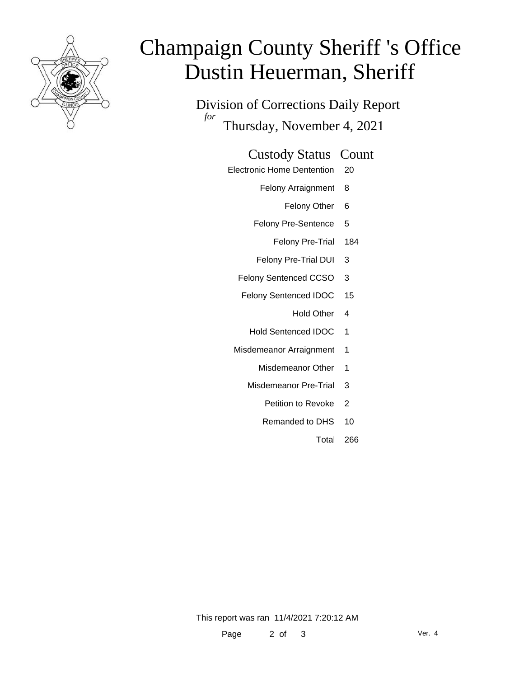

# Champaign County Sheriff 's Office Dustin Heuerman, Sheriff

Division of Corrections Daily Report *for* Thursday, November 4, 2021

#### Custody Status Count

- Electronic Home Dentention 20
	- Felony Arraignment 8
		- Felony Other 6
	- Felony Pre-Sentence 5
		- Felony Pre-Trial 184
	- Felony Pre-Trial DUI 3
	- Felony Sentenced CCSO 3
	- Felony Sentenced IDOC 15
		- Hold Other 4
		- Hold Sentenced IDOC 1
	- Misdemeanor Arraignment 1
		- Misdemeanor Other 1
		- Misdemeanor Pre-Trial 3
			- Petition to Revoke 2
			- Remanded to DHS 10
				- Total 266

This report was ran 11/4/2021 7:20:12 AM